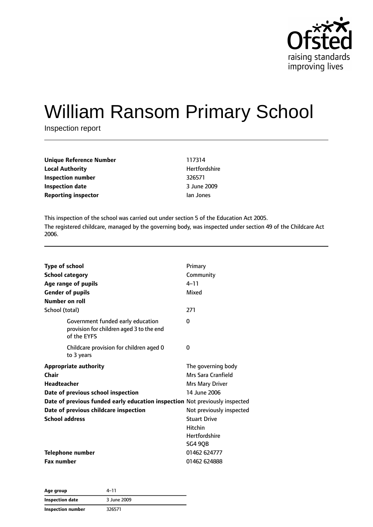

# William Ransom Primary School

Inspection report

| Unique Reference Number    | 117314        |
|----------------------------|---------------|
| <b>Local Authority</b>     | Hertfordshire |
| Inspection number          | 326571        |
| <b>Inspection date</b>     | 3 June 2009   |
| <b>Reporting inspector</b> | lan Jones     |

This inspection of the school was carried out under section 5 of the Education Act 2005. The registered childcare, managed by the governing body, was inspected under section 49 of the Childcare Act 2006.

| <b>Type of school</b><br><b>School category</b><br>Age range of pupils<br><b>Gender of pupils</b><br>Number on roll | Primary<br>Community<br>$4 - 11$<br>Mixed |
|---------------------------------------------------------------------------------------------------------------------|-------------------------------------------|
| School (total)<br>Government funded early education                                                                 | 271<br>0                                  |
| provision for children aged 3 to the end<br>of the EYFS                                                             |                                           |
| Childcare provision for children aged 0<br>to 3 years                                                               | 0                                         |
| <b>Appropriate authority</b>                                                                                        | The governing body                        |
| Chair                                                                                                               | Mrs Sara Cranfield                        |
| <b>Headteacher</b>                                                                                                  | Mrs Mary Driver                           |
| Date of previous school inspection                                                                                  | 14 June 2006                              |
| Date of previous funded early education inspection Not previously inspected                                         |                                           |
| Date of previous childcare inspection                                                                               | Not previously inspected                  |
| <b>School address</b>                                                                                               | <b>Stuart Drive</b>                       |
|                                                                                                                     | <b>Hitchin</b>                            |
|                                                                                                                     | <b>Hertfordshire</b>                      |
|                                                                                                                     | <b>SG4 90B</b>                            |
| <b>Telephone number</b>                                                                                             | 01462 624777                              |
| <b>Fax number</b>                                                                                                   | 01462 624888                              |

| Age group                | $4 - 11$    |  |
|--------------------------|-------------|--|
| Inspection date          | 3 June 2009 |  |
| <b>Inspection number</b> | 326571      |  |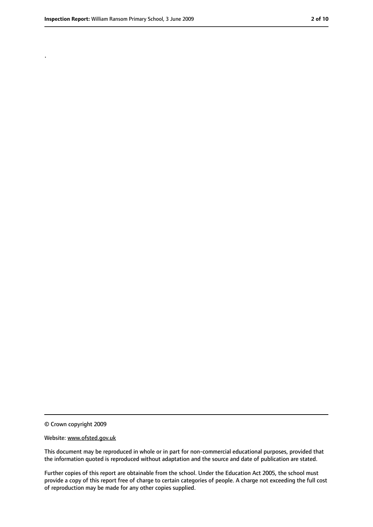.

<sup>©</sup> Crown copyright 2009

Website: www.ofsted.gov.uk

This document may be reproduced in whole or in part for non-commercial educational purposes, provided that the information quoted is reproduced without adaptation and the source and date of publication are stated.

Further copies of this report are obtainable from the school. Under the Education Act 2005, the school must provide a copy of this report free of charge to certain categories of people. A charge not exceeding the full cost of reproduction may be made for any other copies supplied.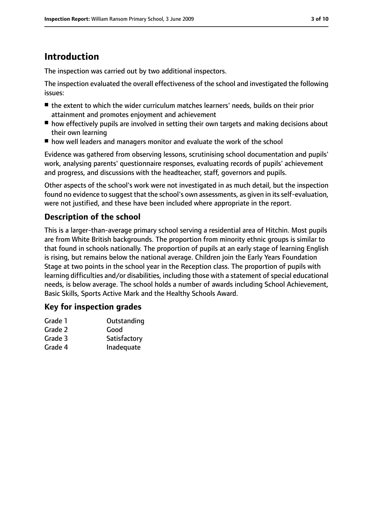# **Introduction**

The inspection was carried out by two additional inspectors.

The inspection evaluated the overall effectiveness of the school and investigated the following issues:

- the extent to which the wider curriculum matches learners' needs, builds on their prior attainment and promotes enjoyment and achievement
- how effectively pupils are involved in setting their own targets and making decisions about their own learning
- how well leaders and managers monitor and evaluate the work of the school

Evidence was gathered from observing lessons, scrutinising school documentation and pupils' work, analysing parents' questionnaire responses, evaluating records of pupils' achievement and progress, and discussions with the headteacher, staff, governors and pupils.

Other aspects of the school's work were not investigated in as much detail, but the inspection found no evidence to suggest that the school's own assessments, as given in itsself-evaluation, were not justified, and these have been included where appropriate in the report.

# **Description of the school**

This is a larger-than-average primary school serving a residential area of Hitchin. Most pupils are from White British backgrounds. The proportion from minority ethnic groups is similar to that found in schools nationally. The proportion of pupils at an early stage of learning English is rising, but remains below the national average. Children join the Early Years Foundation Stage at two points in the school year in the Reception class. The proportion of pupils with learning difficulties and/or disabilities, including those with a statement of special educational needs, is below average. The school holds a number of awards including School Achievement, Basic Skills, Sports Active Mark and the Healthy Schools Award.

# **Key for inspection grades**

| Grade 1 | Outstanding  |
|---------|--------------|
| Grade 2 | Good         |
| Grade 3 | Satisfactory |
| Grade 4 | Inadequate   |
|         |              |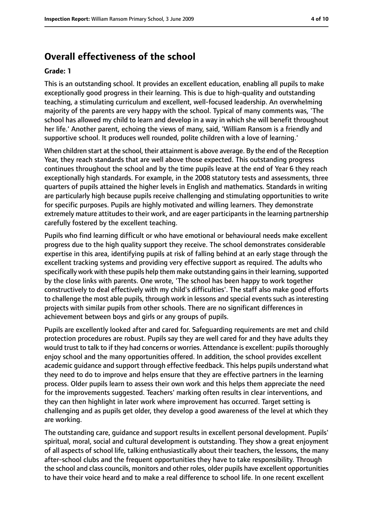# **Overall effectiveness of the school**

#### **Grade: 1**

This is an outstanding school. It provides an excellent education, enabling all pupils to make exceptionally good progress in their learning. This is due to high-quality and outstanding teaching, a stimulating curriculum and excellent, well-focused leadership. An overwhelming majority of the parents are very happy with the school. Typical of many comments was, 'The school has allowed my child to learn and develop in a way in which she will benefit throughout her life.' Another parent, echoing the views of many, said, 'William Ransom is a friendly and supportive school. It produces well rounded, polite children with a love of learning.'

When children start at the school, their attainment is above average. By the end of the Reception Year, they reach standards that are well above those expected. This outstanding progress continues throughout the school and by the time pupils leave at the end of Year 6 they reach exceptionally high standards. For example, in the 2008 statutory tests and assessments, three quarters of pupils attained the higher levels in English and mathematics. Standards in writing are particularly high because pupils receive challenging and stimulating opportunities to write for specific purposes. Pupils are highly motivated and willing learners. They demonstrate extremely mature attitudes to their work, and are eager participants in the learning partnership carefully fostered by the excellent teaching.

Pupils who find learning difficult or who have emotional or behavioural needs make excellent progress due to the high quality support they receive. The school demonstrates considerable expertise in this area, identifying pupils at risk of falling behind at an early stage through the excellent tracking systems and providing very effective support as required. The adults who specifically work with these pupils help them make outstanding gains in their learning, supported by the close links with parents. One wrote, 'The school has been happy to work together constructively to deal effectively with my child's difficulties'. The staff also make good efforts to challenge the most able pupils, through work in lessons and special events such as interesting projects with similar pupils from other schools. There are no significant differences in achievement between boys and girls or any groups of pupils.

Pupils are excellently looked after and cared for. Safeguarding requirements are met and child protection procedures are robust. Pupils say they are well cared for and they have adults they would trust to talk to if they had concerns or worries. Attendance is excellent: pupils thoroughly enjoy school and the many opportunities offered. In addition, the school provides excellent academic guidance and support through effective feedback. This helps pupils understand what they need to do to improve and helps ensure that they are effective partners in the learning process. Older pupils learn to assess their own work and this helps them appreciate the need for the improvements suggested. Teachers' marking often results in clear interventions, and they can then highlight in later work where improvement has occurred. Target setting is challenging and as pupils get older, they develop a good awareness of the level at which they are working.

The outstanding care, guidance and support results in excellent personal development. Pupils' spiritual, moral, social and cultural development is outstanding. They show a great enjoyment of all aspects of school life, talking enthusiastically about their teachers, the lessons, the many after-school clubs and the frequent opportunities they have to take responsibility. Through the school and class councils, monitors and other roles, older pupils have excellent opportunities to have their voice heard and to make a real difference to school life. In one recent excellent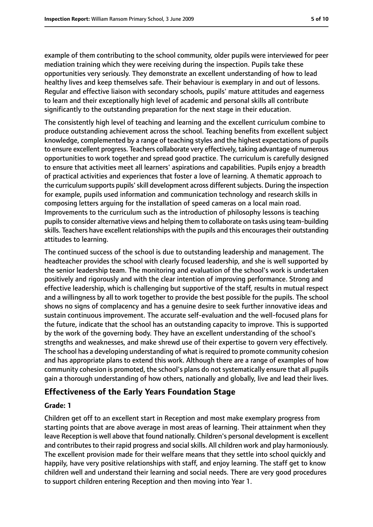example of them contributing to the school community, older pupils were interviewed for peer mediation training which they were receiving during the inspection. Pupils take these opportunities very seriously. They demonstrate an excellent understanding of how to lead healthy lives and keep themselves safe. Their behaviour is exemplary in and out of lessons. Regular and effective liaison with secondary schools, pupils' mature attitudes and eagerness to learn and their exceptionally high level of academic and personal skills all contribute significantly to the outstanding preparation for the next stage in their education.

The consistently high level of teaching and learning and the excellent curriculum combine to produce outstanding achievement across the school. Teaching benefits from excellent subject knowledge, complemented by a range of teaching styles and the highest expectations of pupils to ensure excellent progress. Teachers collaborate very effectively, taking advantage of numerous opportunities to work together and spread good practice. The curriculum is carefully designed to ensure that activities meet all learners' aspirations and capabilities. Pupils enjoy a breadth of practical activities and experiences that foster a love of learning. A thematic approach to the curriculum supports pupils' skill development across different subjects. During the inspection for example, pupils used information and communication technology and research skills in composing letters arguing for the installation of speed cameras on a local main road. Improvements to the curriculum such as the introduction of philosophy lessons is teaching pupilsto consider alternative views and helping them to collaborate on tasks using team-building skills. Teachers have excellent relationships with the pupils and this encourages their outstanding attitudes to learning.

The continued success of the school is due to outstanding leadership and management. The headteacher provides the school with clearly focused leadership, and she is well supported by the senior leadership team. The monitoring and evaluation of the school's work is undertaken positively and rigorously and with the clear intention of improving performance. Strong and effective leadership, which is challenging but supportive of the staff, results in mutual respect and a willingness by all to work together to provide the best possible for the pupils. The school shows no signs of complacency and has a genuine desire to seek further innovative ideas and sustain continuous improvement. The accurate self-evaluation and the well-focused plans for the future, indicate that the school has an outstanding capacity to improve. This is supported by the work of the governing body. They have an excellent understanding of the school's strengths and weaknesses, and make shrewd use of their expertise to govern very effectively. The school has a developing understanding of what isrequired to promote community cohesion and has appropriate plans to extend this work. Although there are a range of examples of how community cohesion is promoted, the school's plans do not systematically ensure that all pupils gain a thorough understanding of how others, nationally and globally, live and lead their lives.

#### **Effectiveness of the Early Years Foundation Stage**

#### **Grade: 1**

Children get off to an excellent start in Reception and most make exemplary progress from starting points that are above average in most areas of learning. Their attainment when they leave Reception is well above that found nationally. Children's personal development is excellent and contributes to their rapid progress and social skills. All children work and play harmoniously. The excellent provision made for their welfare means that they settle into school quickly and happily, have very positive relationships with staff, and enjoy learning. The staff get to know children well and understand their learning and social needs. There are very good procedures to support children entering Reception and then moving into Year 1.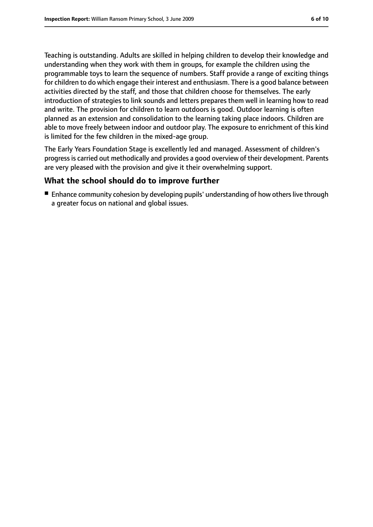Teaching is outstanding. Adults are skilled in helping children to develop their knowledge and understanding when they work with them in groups, for example the children using the programmable toys to learn the sequence of numbers. Staff provide a range of exciting things for children to do which engage their interest and enthusiasm. There is a good balance between activities directed by the staff, and those that children choose for themselves. The early introduction of strategies to link sounds and letters prepares them well in learning how to read and write. The provision for children to learn outdoors is good. Outdoor learning is often planned as an extension and consolidation to the learning taking place indoors. Children are able to move freely between indoor and outdoor play. The exposure to enrichment of this kind is limited for the few children in the mixed-age group.

The Early Years Foundation Stage is excellently led and managed. Assessment of children's progressis carried out methodically and provides a good overview of their development. Parents are very pleased with the provision and give it their overwhelming support.

### **What the school should do to improve further**

■ Enhance community cohesion by developing pupils' understanding of how others live through a greater focus on national and global issues.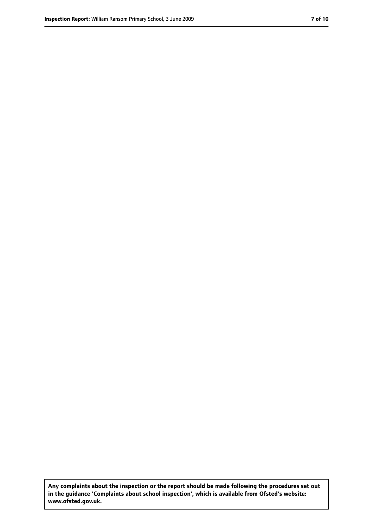**Any complaints about the inspection or the report should be made following the procedures set out in the guidance 'Complaints about school inspection', which is available from Ofsted's website: www.ofsted.gov.uk.**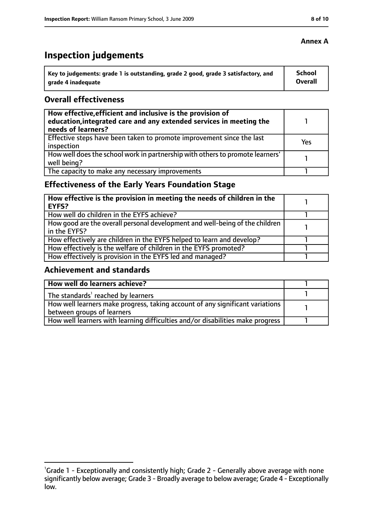# **Inspection judgements**

| ˈ Key to judgements: grade 1 is outstanding, grade 2 good, grade 3 satisfactory, and | <b>School</b>  |
|--------------------------------------------------------------------------------------|----------------|
| arade 4 inadequate                                                                   | <b>Overall</b> |

#### **Overall effectiveness**

| How effective, efficient and inclusive is the provision of<br>education, integrated care and any extended services in meeting the<br>needs of learners? |     |
|---------------------------------------------------------------------------------------------------------------------------------------------------------|-----|
| Effective steps have been taken to promote improvement since the last<br>inspection                                                                     | Yes |
| How well does the school work in partnership with others to promote learners'<br>well being?                                                            |     |
| The capacity to make any necessary improvements                                                                                                         |     |

# **Effectiveness of the Early Years Foundation Stage**

| How effective is the provision in meeting the needs of children in the<br>l EYFS?            |  |
|----------------------------------------------------------------------------------------------|--|
| How well do children in the EYFS achieve?                                                    |  |
| How good are the overall personal development and well-being of the children<br>in the EYFS? |  |
| How effectively are children in the EYFS helped to learn and develop?                        |  |
| How effectively is the welfare of children in the EYFS promoted?                             |  |
| How effectively is provision in the EYFS led and managed?                                    |  |

### **Achievement and standards**

| How well do learners achieve?                                                  |  |
|--------------------------------------------------------------------------------|--|
| The standards <sup>1</sup> reached by learners                                 |  |
| How well learners make progress, taking account of any significant variations  |  |
| between groups of learners                                                     |  |
| How well learners with learning difficulties and/or disabilities make progress |  |

## **Annex A**

<sup>&</sup>lt;sup>1</sup>Grade 1 - Exceptionally and consistently high; Grade 2 - Generally above average with none significantly below average; Grade 3 - Broadly average to below average; Grade 4 - Exceptionally low.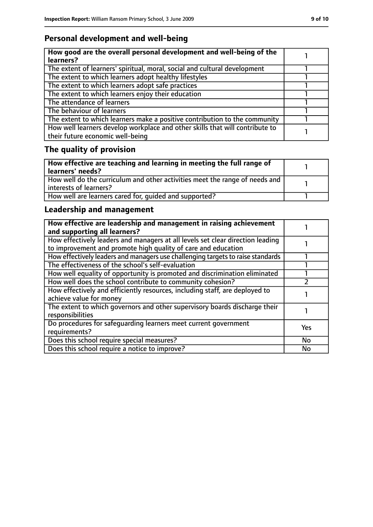# **Personal development and well-being**

| How good are the overall personal development and well-being of the<br>learners?                                 |  |
|------------------------------------------------------------------------------------------------------------------|--|
| The extent of learners' spiritual, moral, social and cultural development                                        |  |
| The extent to which learners adopt healthy lifestyles                                                            |  |
| The extent to which learners adopt safe practices                                                                |  |
| The extent to which learners enjoy their education                                                               |  |
| The attendance of learners                                                                                       |  |
| The behaviour of learners                                                                                        |  |
| The extent to which learners make a positive contribution to the community                                       |  |
| How well learners develop workplace and other skills that will contribute to<br>their future economic well-being |  |

# **The quality of provision**

| How effective are teaching and learning in meeting the full range of<br>learners' needs?              |  |
|-------------------------------------------------------------------------------------------------------|--|
| How well do the curriculum and other activities meet the range of needs and<br>interests of learners? |  |
| How well are learners cared for, quided and supported?                                                |  |

# **Leadership and management**

| How effective are leadership and management in raising achievement<br>and supporting all learners?                                              |            |
|-------------------------------------------------------------------------------------------------------------------------------------------------|------------|
| How effectively leaders and managers at all levels set clear direction leading<br>to improvement and promote high quality of care and education |            |
| How effectively leaders and managers use challenging targets to raise standards                                                                 |            |
| The effectiveness of the school's self-evaluation                                                                                               |            |
| How well equality of opportunity is promoted and discrimination eliminated                                                                      |            |
| How well does the school contribute to community cohesion?                                                                                      |            |
| How effectively and efficiently resources, including staff, are deployed to<br>achieve value for money                                          |            |
| The extent to which governors and other supervisory boards discharge their<br>responsibilities                                                  |            |
| Do procedures for safequarding learners meet current government<br>requirements?                                                                | <b>Yes</b> |
| Does this school require special measures?                                                                                                      | <b>No</b>  |
| Does this school require a notice to improve?                                                                                                   | No         |